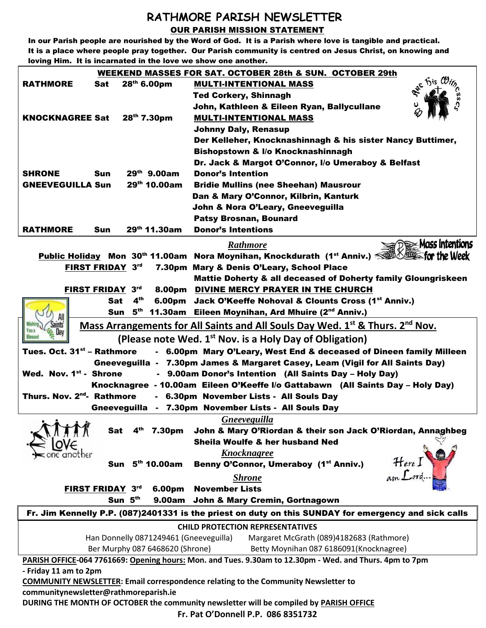## **RATHMORE PARISH NEWSLETTER** OUR PARISH MISSION STATEMENT

In our Parish people are nourished by the Word of God. It is a Parish where love is tangible and practical. It is a place where people pray together. Our Parish community is centred on Jesus Christ, on knowing and loving Him. It is incarnated in the love we show one another.

| WEEKEND MASSES FOR SAT. OCTOBER 28th & SUN. OCTOBER 29th                                                      |            |                         |                             |                                                                          |
|---------------------------------------------------------------------------------------------------------------|------------|-------------------------|-----------------------------|--------------------------------------------------------------------------|
| <b>RATHMORE</b>                                                                                               | Sat        | 28 <sup>th</sup> 6.00pm |                             | R <sup>ee</sup> his<br><b>MULTI-INTENTIONAL MASS</b>                     |
|                                                                                                               |            |                         |                             | <b>Ted Corkery, Shinnagh</b>                                             |
|                                                                                                               |            |                         |                             | John, Kathleen & Eileen Ryan, Ballycullane                               |
| <b>KNOCKNAGREE Sat</b>                                                                                        |            | 28 <sup>th</sup> 7.30pm |                             | <b>MULTI-INTENTIONAL MASS</b>                                            |
|                                                                                                               |            |                         |                             | <b>Johnny Daly, Renasup</b>                                              |
|                                                                                                               |            |                         |                             | Der Kelleher, Knocknashinnagh & his sister Nancy Buttimer,               |
|                                                                                                               |            |                         |                             | <b>Bishopstown &amp; I/o Knocknashinnagh</b>                             |
|                                                                                                               |            |                         |                             | Dr. Jack & Margot O'Connor, I/o Umeraboy & Belfast                       |
| <b>SHRONE</b>                                                                                                 | Sun        | $29th$ 9.00am           |                             | <b>Donor's Intention</b>                                                 |
| <b>GNEEVEGUILLA Sun</b>                                                                                       |            |                         | 29 <sup>th</sup> 10.00am    | <b>Bridie Mullins (nee Sheehan) Mausrour</b>                             |
|                                                                                                               |            |                         |                             | Dan & Mary O'Connor, Kilbrin, Kanturk                                    |
|                                                                                                               |            |                         |                             | John & Nora O'Leary, Gneeveguilla                                        |
|                                                                                                               |            |                         |                             | <b>Patsy Brosnan, Bounard</b>                                            |
| <b>RATHMORE</b>                                                                                               | Sun        |                         | 29th 11.30am                | <b>Donor's Intentions</b>                                                |
|                                                                                                               |            |                         |                             | $\widehat{D}$ $\cong$ Mass Intentions<br><b>Rathmore</b>                 |
| <b>Public Holiday</b> Mon 30 <sup>th</sup> 11.00am Nora Moynihan, Knockdurath (1 <sup>st</sup> Anniv.)        |            |                         |                             |                                                                          |
| FIRST FRIDAY 3rd<br>7.30pm Mary & Denis O'Leary, School Place                                                 |            |                         |                             |                                                                          |
|                                                                                                               |            |                         |                             | <b>Mattie Doherty &amp; all deceased of Doherty family Gloungriskeen</b> |
| FIRST FRIDAY 3rd                                                                                              |            |                         |                             | 8.00pm DIVINE MERCY PRAYER IN THE CHURCH                                 |
|                                                                                                               | <b>Sat</b> | 4 <sup>th</sup>         |                             | 6.00pm Jack O'Keeffe Nohoval & Clounts Cross (1 <sup>st</sup> Anniv.)    |
|                                                                                                               |            | Sun 5 <sup>th</sup>     |                             | 11.30am Eileen Moynihan, Ard Mhuire (2 <sup>nd</sup> Anniv.)             |
| Mass Arrangements for All Saints and All Souls Day Wed. 1 <sup>st</sup> & Thurs. 2 <sup>nd</sup> Nov.         |            |                         |                             |                                                                          |
|                                                                                                               |            |                         |                             |                                                                          |
| Tues. Oct. 31 <sup>st</sup> – Rathmore<br>- 6.00pm Mary O'Leary, West End & deceased of Dineen family Milleen |            |                         |                             |                                                                          |
| Gneeveguilla - 7.30pm James & Margaret Casey, Leam (Vigil for All Saints Day)                                 |            |                         |                             |                                                                          |
| Wed. Nov. 1st - Shrone<br>- 9.00am Donor's Intention (All Saints Day - Holy Day)                              |            |                         |                             |                                                                          |
| Knocknagree - 10.00am Eileen O'Keeffe I/o Gattabawn (All Saints Day - Holy Day)                               |            |                         |                             |                                                                          |
| Thurs. Nov. 2 <sup>nd</sup> - Rathmore<br>- 6.30pm November Lists - All Souls Day                             |            |                         |                             |                                                                          |
| Gneeveguilla - 7.30pm November Lists - All Souls Day                                                          |            |                         |                             |                                                                          |
| 2.12                                                                                                          |            |                         |                             | <b>Gneeveguilla</b>                                                      |
|                                                                                                               | Sat        |                         | 4 <sup>th</sup> 7.30pm      | John & Mary O'Riordan & their son Jack O'Riordan, Annaghbeg              |
|                                                                                                               |            |                         |                             | Sheila Woulfe & her husband Ned                                          |
|                                                                                                               |            |                         |                             | <b>Knocknagree</b>                                                       |
|                                                                                                               |            |                         | Sun 5 <sup>th</sup> 10.00am | Here I<br>Benny O'Connor, Umeraboy (1st Anniv.)                          |
|                                                                                                               |            |                         |                             | <b>Shrone</b>                                                            |
|                                                                                                               |            | FIRST FRIDAY 3rd        | 6.00pm                      | <b>November Lists</b>                                                    |
|                                                                                                               |            | Sun 5th                 | <b>9.00am</b>               | John & Mary Cremin, Gortnagown                                           |
| Fr. Jim Kennelly P.P. (087)2401331 is the priest on duty on this SUNDAY for emergency and sick calls          |            |                         |                             |                                                                          |
| <b>CHILD PROTECTION REPRESENTATIVES</b>                                                                       |            |                         |                             |                                                                          |
| Han Donnelly 0871249461 (Gneeveguilla)<br>Margaret McGrath (089)4182683 (Rathmore)                            |            |                         |                             |                                                                          |
| Ber Murphy 087 6468620 (Shrone)<br>Betty Moynihan 087 6186091 (Knocknagree)                                   |            |                         |                             |                                                                          |
| PARISH OFFICE-064 7761669: Opening hours: Mon. and Tues. 9.30am to 12.30pm - Wed. and Thurs. 4pm to 7pm       |            |                         |                             |                                                                          |
| - Friday 11 am to 2pm                                                                                         |            |                         |                             |                                                                          |
| COMMUNITY NEWSLETTER: Email correspondence relating to the Community Newsletter to                            |            |                         |                             |                                                                          |
| communitynewsletter@rathmoreparish.ie                                                                         |            |                         |                             |                                                                          |
| DURING THE MONTH OF OCTOBER the community newsletter will be compiled by PARISH OFFICE                        |            |                         |                             |                                                                          |

**Fr. Pat O'Donnell P.P. 086 8351732**